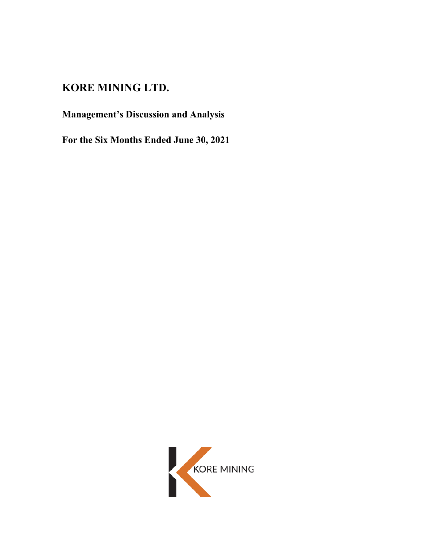# **KORE MINING LTD.**

# **Management's Discussion and Analysis**

**For the Six Months Ended June 30, 2021** 

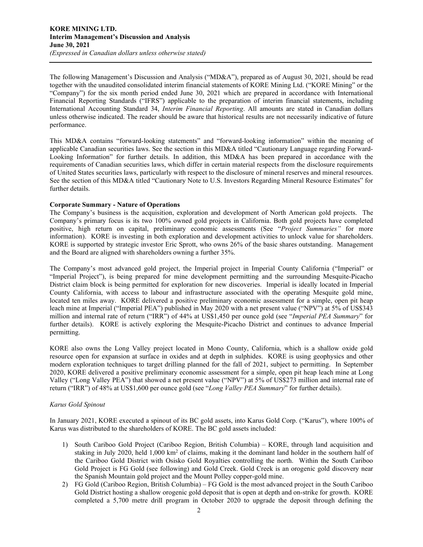The following Management's Discussion and Analysis ("MD&A"), prepared as of August 30, 2021, should be read together with the unaudited consolidated interim financial statements of KORE Mining Ltd. ("KORE Mining" or the "Company") for the six month period ended June 30, 2021 which are prepared in accordance with International Financial Reporting Standards ("IFRS") applicable to the preparation of interim financial statements, including International Accounting Standard 34, *Interim Financial Reporting*. All amounts are stated in Canadian dollars unless otherwise indicated. The reader should be aware that historical results are not necessarily indicative of future performance.

This MD&A contains "forward-looking statements" and "forward-looking information" within the meaning of applicable Canadian securities laws. See the section in this MD&A titled "Cautionary Language regarding Forward-Looking Information" for further details. In addition, this MD&A has been prepared in accordance with the requirements of Canadian securities laws, which differ in certain material respects from the disclosure requirements of United States securities laws, particularly with respect to the disclosure of mineral reserves and mineral resources. See the section of this MD&A titled "Cautionary Note to U.S. Investors Regarding Mineral Resource Estimates" for further details.

## **Corporate Summary - Nature of Operations**

The Company's business is the acquisition, exploration and development of North American gold projects. The Company's primary focus is its two 100% owned gold projects in California. Both gold projects have completed positive, high return on capital, preliminary economic assessments (See "*Project Summaries"* for more information). KORE is investing in both exploration and development activities to unlock value for shareholders. KORE is supported by strategic investor Eric Sprott, who owns 26% of the basic shares outstanding. Management and the Board are aligned with shareholders owning a further 35%.

The Company's most advanced gold project, the Imperial project in Imperial County California ("Imperial" or "Imperial Project"), is being prepared for mine development permitting and the surrounding Mesquite-Picacho District claim block is being permitted for exploration for new discoveries. Imperial is ideally located in Imperial County California, with access to labour and infrastructure associated with the operating Mesquite gold mine, located ten miles away. KORE delivered a positive preliminary economic assessment for a simple, open pit heap leach mine at Imperial ("Imperial PEA") published in May 2020 with a net present value ("NPV") at 5% of US\$343 million and internal rate of return ("IRR") of 44% at US\$1,450 per ounce gold (see "*Imperial PEA Summary*" for further details). KORE is actively exploring the Mesquite-Picacho District and continues to advance Imperial permitting.

KORE also owns the Long Valley project located in Mono County, California, which is a shallow oxide gold resource open for expansion at surface in oxides and at depth in sulphides. KORE is using geophysics and other modern exploration techniques to target drilling planned for the fall of 2021, subject to permitting. In September 2020, KORE delivered a positive preliminary economic assessment for a simple, open pit heap leach mine at Long Valley ("Long Valley PEA") that showed a net present value ("NPV") at 5% of US\$273 million and internal rate of return ("IRR") of 48% at US\$1,600 per ounce gold (see "*Long Valley PEA Summary*" for further details).

## *Karus Gold Spinout*

In January 2021, KORE executed a spinout of its BC gold assets, into Karus Gold Corp. ("Karus"), where 100% of Karus was distributed to the shareholders of KORE. The BC gold assets included:

- 1) South Cariboo Gold Project (Cariboo Region, British Columbia) KORE, through land acquisition and staking in July 2020, held 1,000 km<sup>2</sup> of claims, making it the dominant land holder in the southern half of the Cariboo Gold District with Osisko Gold Royalties controlling the north. Within the South Cariboo Gold Project is FG Gold (see following) and Gold Creek. Gold Creek is an orogenic gold discovery near the Spanish Mountain gold project and the Mount Polley copper-gold mine.
- 2) FG Gold (Cariboo Region, British Columbia) FG Gold is the most advanced project in the South Cariboo Gold District hosting a shallow orogenic gold deposit that is open at depth and on-strike for growth. KORE completed a 5,700 metre drill program in October 2020 to upgrade the deposit through defining the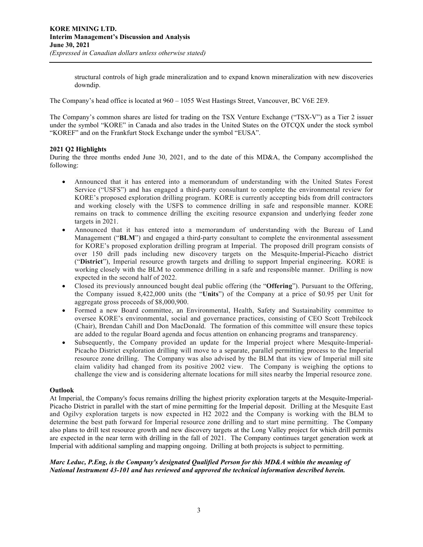structural controls of high grade mineralization and to expand known mineralization with new discoveries downdip.

The Company's head office is located at 960 – 1055 West Hastings Street, Vancouver, BC V6E 2E9.

The Company's common shares are listed for trading on the TSX Venture Exchange ("TSX-V") as a Tier 2 issuer under the symbol "KORE" in Canada and also trades in the United States on the OTCQX under the stock symbol "KOREF" and on the Frankfurt Stock Exchange under the symbol "EUSA".

## **2021 Q2 Highlights**

During the three months ended June 30, 2021, and to the date of this MD&A, the Company accomplished the following:

- Announced that it has entered into a memorandum of understanding with the United States Forest Service ("USFS") and has engaged a third-party consultant to complete the environmental review for KORE's proposed exploration drilling program. KORE is currently accepting bids from drill contractors and working closely with the USFS to commence drilling in safe and responsible manner. KORE remains on track to commence drilling the exciting resource expansion and underlying feeder zone targets in 2021.
- Announced that it has entered into a memorandum of understanding with the Bureau of Land Management ("**BLM**") and engaged a third-party consultant to complete the environmental assessment for KORE's proposed exploration drilling program at Imperial. The proposed drill program consists of over 150 drill pads including new discovery targets on the Mesquite-Imperial-Picacho district ("**District**"), Imperial resource growth targets and drilling to support Imperial engineering. KORE is working closely with the BLM to commence drilling in a safe and responsible manner. Drilling is now expected in the second half of 2022.
- Closed its previously announced bought deal public offering (the "**Offering**"). Pursuant to the Offering, the Company issued 8,422,000 units (the "**Units**") of the Company at a price of \$0.95 per Unit for aggregate gross proceeds of \$8,000,900.
- Formed a new Board committee, an Environmental, Health, Safety and Sustainability committee to oversee KORE's environmental, social and governance practices, consisting of CEO Scott Trebilcock (Chair), Brendan Cahill and Don MacDonald. The formation of this committee will ensure these topics are added to the regular Board agenda and focus attention on enhancing programs and transparency.
- Subsequently, the Company provided an update for the Imperial project where Mesquite-Imperial-Picacho District exploration drilling will move to a separate, parallel permitting process to the Imperial resource zone drilling. The Company was also advised by the BLM that its view of Imperial mill site claim validity had changed from its positive 2002 view. The Company is weighing the options to challenge the view and is considering alternate locations for mill sites nearby the Imperial resource zone.

## **Outlook**

At Imperial, the Company's focus remains drilling the highest priority exploration targets at the Mesquite-Imperial-Picacho District in parallel with the start of mine permitting for the Imperial deposit. Drilling at the Mesquite East and Ogilvy exploration targets is now expected in H2 2022 and the Company is working with the BLM to determine the best path forward for Imperial resource zone drilling and to start mine permitting. The Company also plans to drill test resource growth and new discovery targets at the Long Valley project for which drill permits are expected in the near term with drilling in the fall of 2021. The Company continues target generation work at Imperial with additional sampling and mapping ongoing. Drilling at both projects is subject to permitting.

## *Marc Leduc, P.Eng, is the Company's designated Qualified Person for this MD&A within the meaning of National Instrument 43-101 and has reviewed and approved the technical information described herein.*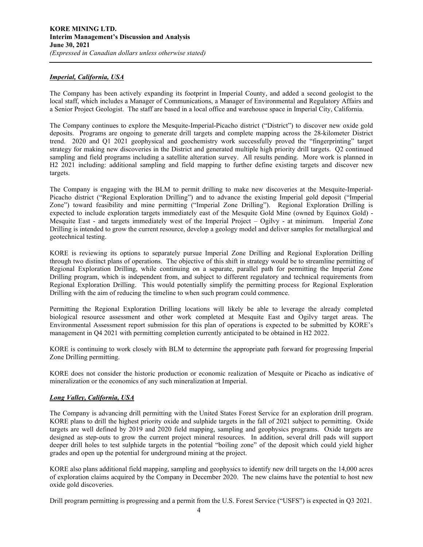## *Imperial, California, USA*

The Company has been actively expanding its footprint in Imperial County, and added a second geologist to the local staff, which includes a Manager of Communications, a Manager of Environmental and Regulatory Affairs and a Senior Project Geologist. The staff are based in a local office and warehouse space in Imperial City, California.

The Company continues to explore the Mesquite-Imperial-Picacho district ("District") to discover new oxide gold deposits. Programs are ongoing to generate drill targets and complete mapping across the 28-kilometer District trend. 2020 and Q1 2021 geophysical and geochemistry work successfully proved the "fingerprinting" target strategy for making new discoveries in the District and generated multiple high priority drill targets. Q2 continued sampling and field programs including a satellite alteration survey. All results pending. More work is planned in H2 2021 including: additional sampling and field mapping to further define existing targets and discover new targets.

The Company is engaging with the BLM to permit drilling to make new discoveries at the Mesquite-Imperial-Picacho district ("Regional Exploration Drilling") and to advance the existing Imperial gold deposit ("Imperial Zone") toward feasibility and mine permitting ("Imperial Zone Drilling"). Regional Exploration Drilling is expected to include exploration targets immediately east of the Mesquite Gold Mine (owned by Equinox Gold) - Mesquite East - and targets immediately west of the Imperial Project – Ogilvy - at minimum. Imperial Zone Drilling is intended to grow the current resource, develop a geology model and deliver samples for metallurgical and geotechnical testing.

KORE is reviewing its options to separately pursue Imperial Zone Drilling and Regional Exploration Drilling through two distinct plans of operations. The objective of this shift in strategy would be to streamline permitting of Regional Exploration Drilling, while continuing on a separate, parallel path for permitting the Imperial Zone Drilling program, which is independent from, and subject to different regulatory and technical requirements from Regional Exploration Drilling. This would potentially simplify the permitting process for Regional Exploration Drilling with the aim of reducing the timeline to when such program could commence.

Permitting the Regional Exploration Drilling locations will likely be able to leverage the already completed biological resource assessment and other work completed at Mesquite East and Ogilvy target areas. The Environmental Assessment report submission for this plan of operations is expected to be submitted by KORE's management in Q4 2021 with permitting completion currently anticipated to be obtained in H2 2022.

KORE is continuing to work closely with BLM to determine the appropriate path forward for progressing Imperial Zone Drilling permitting.

KORE does not consider the historic production or economic realization of Mesquite or Picacho as indicative of mineralization or the economics of any such mineralization at Imperial.

## *Long Valley, California, USA*

The Company is advancing drill permitting with the United States Forest Service for an exploration drill program. KORE plans to drill the highest priority oxide and sulphide targets in the fall of 2021 subject to permitting. Oxide targets are well defined by 2019 and 2020 field mapping, sampling and geophysics programs. Oxide targets are designed as step-outs to grow the current project mineral resources. In addition, several drill pads will support deeper drill holes to test sulphide targets in the potential "boiling zone" of the deposit which could yield higher grades and open up the potential for underground mining at the project.

KORE also plans additional field mapping, sampling and geophysics to identify new drill targets on the 14,000 acres of exploration claims acquired by the Company in December 2020. The new claims have the potential to host new oxide gold discoveries.

Drill program permitting is progressing and a permit from the U.S. Forest Service ("USFS") is expected in Q3 2021.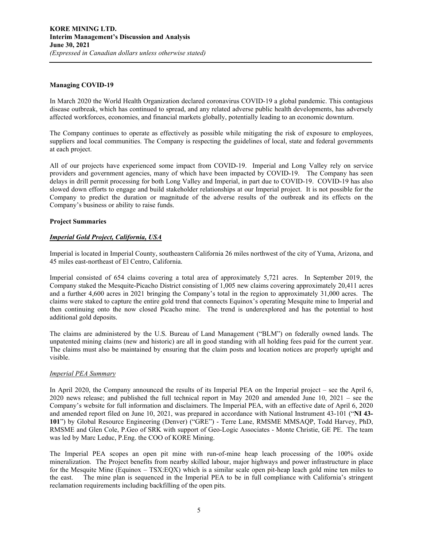## **Managing COVID-19**

In March 2020 the World Health Organization declared coronavirus COVID-19 a global pandemic. This contagious disease outbreak, which has continued to spread, and any related adverse public health developments, has adversely affected workforces, economies, and financial markets globally, potentially leading to an economic downturn.

The Company continues to operate as effectively as possible while mitigating the risk of exposure to employees, suppliers and local communities. The Company is respecting the guidelines of local, state and federal governments at each project.

All of our projects have experienced some impact from COVID-19. Imperial and Long Valley rely on service providers and government agencies, many of which have been impacted by COVID-19. The Company has seen delays in drill permit processing for both Long Valley and Imperial, in part due to COVID-19. COVID-19 has also slowed down efforts to engage and build stakeholder relationships at our Imperial project. It is not possible for the Company to predict the duration or magnitude of the adverse results of the outbreak and its effects on the Company's business or ability to raise funds.

## **Project Summaries**

## *Imperial Gold Project, California, USA*

Imperial is located in Imperial County, southeastern California 26 miles northwest of the city of Yuma, Arizona, and 45 miles east-northeast of El Centro, California.

Imperial consisted of 654 claims covering a total area of approximately 5,721 acres. In September 2019, the Company staked the Mesquite-Picacho District consisting of 1,005 new claims covering approximately 20,411 acres and a further 4,600 acres in 2021 bringing the Company's total in the region to approximately 31,000 acres. The claims were staked to capture the entire gold trend that connects Equinox's operating Mesquite mine to Imperial and then continuing onto the now closed Picacho mine. The trend is underexplored and has the potential to host additional gold deposits.

The claims are administered by the U.S. Bureau of Land Management ("BLM") on federally owned lands. The unpatented mining claims (new and historic) are all in good standing with all holding fees paid for the current year. The claims must also be maintained by ensuring that the claim posts and location notices are properly upright and visible.

## *Imperial PEA Summary*

In April 2020, the Company announced the results of its Imperial PEA on the Imperial project – see the April 6, 2020 news release; and published the full technical report in May 2020 and amended June 10, 2021 – see the Company's website for full information and disclaimers. The Imperial PEA, with an effective date of April 6, 2020 and amended report filed on June 10, 2021, was prepared in accordance with National Instrument 43-101 ("**NI 43- 101**") by Global Resource Engineering (Denver) ("GRE") - Terre Lane, RMSME MMSAQP, Todd Harvey, PhD, RMSME and Glen Cole, P.Geo of SRK with support of Geo-Logic Associates - Monte Christie, GE PE. The team was led by Marc Leduc, P.Eng. the COO of KORE Mining.

The Imperial PEA scopes an open pit mine with run-of-mine heap leach processing of the 100% oxide mineralization. The Project benefits from nearby skilled labour, major highways and power infrastructure in place for the Mesquite Mine (Equinox – TSX:EQX) which is a similar scale open pit-heap leach gold mine ten miles to the east. The mine plan is sequenced in the Imperial PEA to be in full compliance with California's stringent reclamation requirements including backfilling of the open pits.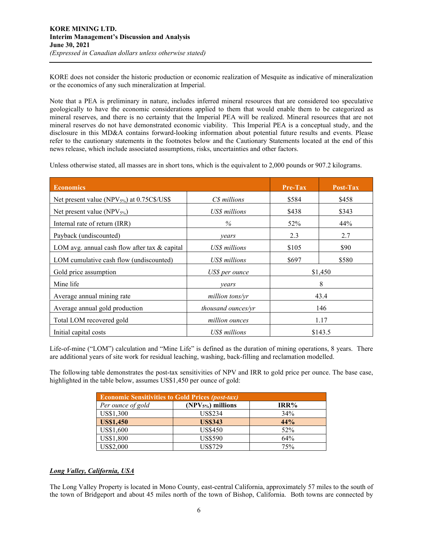KORE does not consider the historic production or economic realization of Mesquite as indicative of mineralization or the economics of any such mineralization at Imperial.

Note that a PEA is preliminary in nature, includes inferred mineral resources that are considered too speculative geologically to have the economic considerations applied to them that would enable them to be categorized as mineral reserves, and there is no certainty that the Imperial PEA will be realized. Mineral resources that are not mineral reserves do not have demonstrated economic viability. This Imperial PEA is a conceptual study, and the disclosure in this MD&A contains forward-looking information about potential future results and events. Please refer to the cautionary statements in the footnotes below and the Cautionary Statements located at the end of this news release, which include associated assumptions, risks, uncertainties and other factors.

Unless otherwise stated, all masses are in short tons, which is the equivalent to 2,000 pounds or 907.2 kilograms.

| <b>Economics</b>                                  |                    | <b>Pre-Tax</b> | Post-Tax |  |
|---------------------------------------------------|--------------------|----------------|----------|--|
| Net present value (NPV $_{5\%}$ ) at 0.75C\$/US\$ | C\$ millions       | \$584          | \$458    |  |
| Net present value (NPV <sub>5%</sub> )            | US\$ millions      | \$438          | \$343    |  |
| Internal rate of return (IRR)                     | %                  | 52%            | 44%      |  |
| Payback (undiscounted)                            | years              | 2.3            | 2.7      |  |
| LOM avg. annual cash flow after tax & capital     | US\$ millions      | \$105          | \$90     |  |
| LOM cumulative cash flow (undiscounted)           | US\$ millions      | \$697          | \$580    |  |
| Gold price assumption                             | US\$ per ounce     | \$1,450        |          |  |
| Mine life                                         | vears              | 8              |          |  |
| Average annual mining rate                        | million tons/yr    |                | 43.4     |  |
| Average annual gold production                    | thousand ounces/yr | 146            |          |  |
| Total LOM recovered gold                          | million ounces     | 1.17           |          |  |
| Initial capital costs                             | US\$ millions      |                | \$143.5  |  |

Life-of-mine ("LOM") calculation and "Mine Life" is defined as the duration of mining operations, 8 years. There are additional years of site work for residual leaching, washing, back-filling and reclamation modelled.

The following table demonstrates the post-tax sensitivities of NPV and IRR to gold price per ounce. The base case, highlighted in the table below, assumes US\$1,450 per ounce of gold:

| <b>Economic Sensitivities to Gold Prices (post-tax)</b> |                    |      |  |  |  |  |
|---------------------------------------------------------|--------------------|------|--|--|--|--|
| Per ounce of gold                                       | $(NPV5%)$ millions | IRR% |  |  |  |  |
| US\$1,300                                               | US\$234            | 34%  |  |  |  |  |
| <b>US\$1,450</b>                                        | <b>US\$343</b>     | 44%  |  |  |  |  |
| US\$1,600                                               | <b>US\$450</b>     | 52%  |  |  |  |  |
| US\$1,800                                               | <b>US\$590</b>     | 64%  |  |  |  |  |
| US\$2,000                                               | <b>US\$729</b>     | 75%  |  |  |  |  |

## *Long Valley, California, USA*

The Long Valley Property is located in Mono County, east-central California, approximately 57 miles to the south of the town of Bridgeport and about 45 miles north of the town of Bishop, California. Both towns are connected by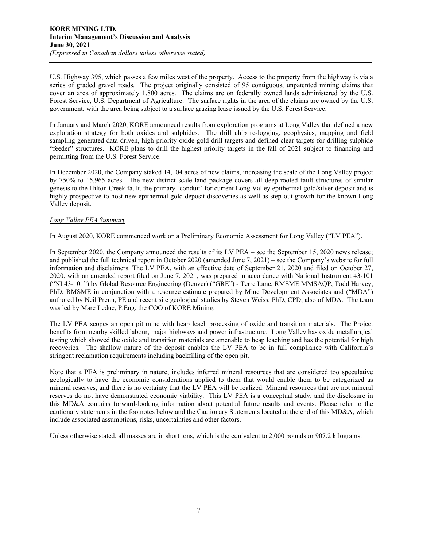U.S. Highway 395, which passes a few miles west of the property. Access to the property from the highway is via a series of graded gravel roads. The project originally consisted of 95 contiguous, unpatented mining claims that cover an area of approximately 1,800 acres. The claims are on federally owned lands administered by the U.S. Forest Service, U.S. Department of Agriculture. The surface rights in the area of the claims are owned by the U.S. government, with the area being subject to a surface grazing lease issued by the U.S. Forest Service.

In January and March 2020, KORE announced results from exploration programs at Long Valley that defined a new exploration strategy for both oxides and sulphides. The drill chip re-logging, geophysics, mapping and field sampling generated data-driven, high priority oxide gold drill targets and defined clear targets for drilling sulphide "feeder" structures. KORE plans to drill the highest priority targets in the fall of 2021 subject to financing and permitting from the U.S. Forest Service.

In December 2020, the Company staked 14,104 acres of new claims, increasing the scale of the Long Valley project by 750% to 15,965 acres. The new district scale land package covers all deep-rooted fault structures of similar genesis to the Hilton Creek fault, the primary 'conduit' for current Long Valley epithermal gold/silver deposit and is highly prospective to host new epithermal gold deposit discoveries as well as step-out growth for the known Long Valley deposit.

## *Long Valley PEA Summary*

In August 2020, KORE commenced work on a Preliminary Economic Assessment for Long Valley ("LV PEA").

In September 2020, the Company announced the results of its LV PEA – see the September 15, 2020 news release; and published the full technical report in October 2020 (amended June 7, 2021) – see the Company's website for full information and disclaimers. The LV PEA, with an effective date of September 21, 2020 and filed on October 27, 2020, with an amended report filed on June 7, 2021, was prepared in accordance with National Instrument 43-101 ("NI 43-101") by Global Resource Engineering (Denver) ("GRE") - Terre Lane, RMSME MMSAQP, Todd Harvey, PhD, RMSME in conjunction with a resource estimate prepared by Mine Development Associates and ("MDA") authored by Neil Prenn, PE and recent site geological studies by Steven Weiss, PhD, CPD, also of MDA. The team was led by Marc Leduc, P.Eng. the COO of KORE Mining.

The LV PEA scopes an open pit mine with heap leach processing of oxide and transition materials. The Project benefits from nearby skilled labour, major highways and power infrastructure. Long Valley has oxide metallurgical testing which showed the oxide and transition materials are amenable to heap leaching and has the potential for high recoveries. The shallow nature of the deposit enables the LV PEA to be in full compliance with California's stringent reclamation requirements including backfilling of the open pit.

Note that a PEA is preliminary in nature, includes inferred mineral resources that are considered too speculative geologically to have the economic considerations applied to them that would enable them to be categorized as mineral reserves, and there is no certainty that the LV PEA will be realized. Mineral resources that are not mineral reserves do not have demonstrated economic viability. This LV PEA is a conceptual study, and the disclosure in this MD&A contains forward-looking information about potential future results and events. Please refer to the cautionary statements in the footnotes below and the Cautionary Statements located at the end of this MD&A, which include associated assumptions, risks, uncertainties and other factors.

Unless otherwise stated, all masses are in short tons, which is the equivalent to 2,000 pounds or 907.2 kilograms.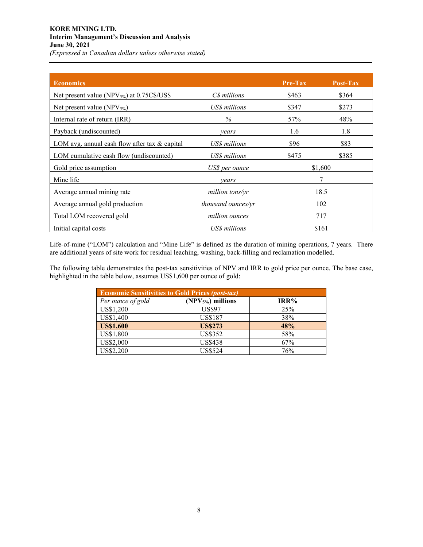## **KORE MINING LTD. Interim Management's Discussion and Analysis June 30, 2021**

*(Expressed in Canadian dollars unless otherwise stated)* 

| <b>Economics</b>                                  |                    | Pre-Tax | Post-Tax |  |
|---------------------------------------------------|--------------------|---------|----------|--|
| Net present value (NPV $_{5\%}$ ) at 0.75C\$/US\$ | C\$ millions       | \$463   | \$364    |  |
| Net present value $(NPV_{5\%})$                   | US\$ millions      | \$347   | \$273    |  |
| Internal rate of return (IRR)                     | $\%$               | 57%     | 48%      |  |
| Payback (undiscounted)                            | vears              | 1.6     | 1.8      |  |
| LOM avg. annual cash flow after tax & capital     | US\$ millions      | \$96    | \$83     |  |
| LOM cumulative cash flow (undiscounted)           | US\$ millions      | \$475   | \$385    |  |
| Gold price assumption<br>US\$ per ounce           |                    |         | \$1,600  |  |
| Mine life                                         | vears              | 7       |          |  |
| Average annual mining rate                        | million tons/yr    | 18.5    |          |  |
| Average annual gold production                    | thousand ounces/yr | 102     |          |  |
| Total LOM recovered gold                          | million ounces     | 717     |          |  |
| Initial capital costs                             | US\$ millions      | \$161   |          |  |

Life-of-mine ("LOM") calculation and "Mine Life" is defined as the duration of mining operations, 7 years. There are additional years of site work for residual leaching, washing, back-filling and reclamation modelled.

The following table demonstrates the post-tax sensitivities of NPV and IRR to gold price per ounce. The base case, highlighted in the table below, assumes US\$1,600 per ounce of gold:

| <b>Economic Sensitivities to Gold Prices (post-tax)</b> |                    |      |  |  |  |  |  |
|---------------------------------------------------------|--------------------|------|--|--|--|--|--|
| Per ounce of gold                                       | $(NPV5%)$ millions | IRR% |  |  |  |  |  |
| US\$1,200                                               | <b>US\$97</b>      | 25%  |  |  |  |  |  |
| US\$1,400                                               | <b>US\$187</b>     | 38%  |  |  |  |  |  |
| <b>US\$1,600</b>                                        | <b>US\$273</b>     | 48%  |  |  |  |  |  |
| US\$1,800                                               | <b>US\$352</b>     | 58%  |  |  |  |  |  |
| US\$2,000                                               | <b>US\$438</b>     | 67%  |  |  |  |  |  |
| US\$2,200                                               | <b>US\$524</b>     | 76%  |  |  |  |  |  |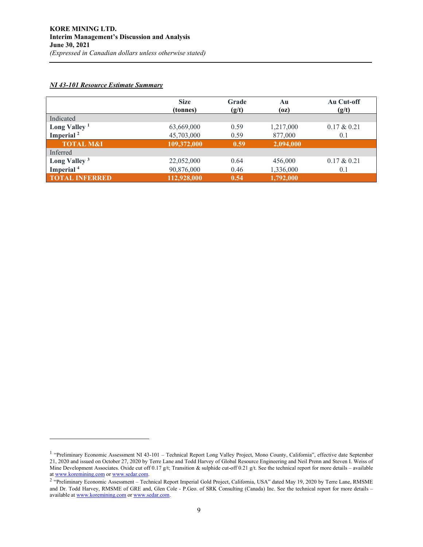## *NI 43-101 Resource Estimate Summary*

|                          | <b>Size</b><br>(tonnes) | Grade<br>(g/t) | Au<br>(oz) | Au Cut-off<br>(g/t) |
|--------------------------|-------------------------|----------------|------------|---------------------|
| Indicated                |                         |                |            |                     |
| Long Valley <sup>1</sup> | 63,669,000              | 0.59           | 1,217,000  | $0.17 \& 0.21$      |
| Imperial <sup>2</sup>    | 45,703,000              | 0.59           | 877,000    | 0.1                 |
| <b>TOTAL M&amp;I</b>     | 109,372,000             | 0.59           | 2,094,000  |                     |
| Inferred                 |                         |                |            |                     |
| Long Valley <sup>3</sup> | 22,052,000              | 0.64           | 456,000    | $0.17 \& 0.21$      |
| Imperial <sup>4</sup>    | 90,876,000              | 0.46           | 1,336,000  | 0.1                 |
| <b>TOTAL INFERRED</b>    | 112,928,000             | 0.54           | 1,792,000  |                     |

<sup>&</sup>lt;sup>1</sup> "Preliminary Economic Assessment NI 43-101 – Technical Report Long Valley Project, Mono County, California", effective date September 21, 2020 and issued on October 27, 2020 by Terre Lane and Todd Harvey of Global Resource Engineering and Neil Prenn and Steven I. Weiss of Mine Development Associates. Oxide cut off 0.17 g/t; Transition & sulphide cut-off 0.21 g/t. See the technical report for more details – available at [www.koremining.com o](http://www.koremining.com/)[r www.sedar.com.](http://www.sedar.com/)

<sup>&</sup>lt;sup>2</sup> "Preliminary Economic Assessment – Technical Report Imperial Gold Project, California, USA" dated May 19, 2020 by Terre Lane, RMSME and Dr. Todd Harvey, RMSME of GRE and, Glen Cole - P.Geo. of SRK Consulting (Canada) Inc. See the technical report for more details – available a[t www.koremining.com o](http://www.koremining.com/)[r www.sedar.com.](http://www.sedar.com/)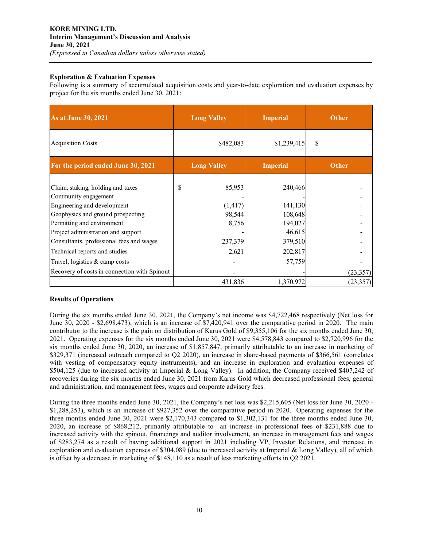## **Exploration & Evaluation Expenses**

Following is a summary of accumulated acquisition costs and year-to-date exploration and evaluation expenses by project for the six months ended June 30, 2021:

| <b>As at June 30, 2021</b>                                                                                                                                                                        | <b>Long Valley</b>                          | <b>Imperial</b>                                    | <b>Other</b>           |  |
|---------------------------------------------------------------------------------------------------------------------------------------------------------------------------------------------------|---------------------------------------------|----------------------------------------------------|------------------------|--|
| <b>Acquisition Costs</b>                                                                                                                                                                          | \$482,083                                   | \$1,239,415                                        | \$                     |  |
| For the period ended June 30, 2021                                                                                                                                                                | <b>Long Valley</b>                          | <b>Imperial</b>                                    | <b>Other</b>           |  |
| Claim, staking, holding and taxes<br>Community engagement<br>Engineering and development<br>Geophysics and ground prospecting<br>Permitting and environment<br>Project administration and support | 85,953<br>\$<br>(1, 417)<br>98,544<br>8,756 | 240,466<br>141,130<br>108,648<br>194,027<br>46,615 |                        |  |
| Consultants, professional fees and wages<br>Technical reports and studies<br>Travel, logistics & camp costs<br>Recovery of costs in connection with Spinout                                       | 237,379<br>2,621                            | 379,510<br>202,817<br>57,759                       |                        |  |
|                                                                                                                                                                                                   | 431,836                                     | 1,370,972                                          | (23, 357)<br>(23, 357) |  |

## **Results of Operations**

During the six months ended June 30, 2021, the Company's net income was \$4,722,468 respectively (Net loss for June 30, 2020 - \$2,698,473), which is an increase of \$7,420,941 over the comparative period in 2020. The main contributor to the increase is the gain on distribution of Karus Gold of \$9,355,106 for the six months ended June 30, 2021. Operating expenses for the six months ended June 30, 2021 were \$4,578,843 compared to \$2,720,996 for the six months ended June 30, 2020, an increase of \$1,857,847, primarily attributable to an increase in marketing of \$329,371 (increased outreach compared to Q2 2020), an increase in share-based payments of \$366,561 (correlates with vesting of compensatory equity instruments), and an increase in exploration and evaluation expenses of \$504,125 (due to increased activity at Imperial & Long Valley). In addition, the Company received \$407,242 of recoveries during the six months ended June 30, 2021 from Karus Gold which decreased professional fees, general and administration, and management fees, wages and corporate advisory fees.

During the three months ended June 30, 2021, the Company's net loss was \$2,215,605 (Net loss for June 30, 2020 - \$1,288,253), which is an increase of \$927,352 over the comparative period in 2020. Operating expenses for the three months ended June 30, 2021 were \$2,170,343 compared to \$1,302,131 for the three months ended June 30, 2020, an increase of \$868,212, primarily attributable to an increase in professional fees of \$231,888 due to increased activity with the spinout, financings and auditor involvement, an increase in management fees and wages of \$283,274 as a result of having additional support in 2021 including VP, Investor Relations, and increase in exploration and evaluation expenses of \$304,089 (due to increased activity at Imperial & Long Valley), all of which is offset by a decrease in marketing of \$148,110 as a result of less marketing efforts in Q2 2021.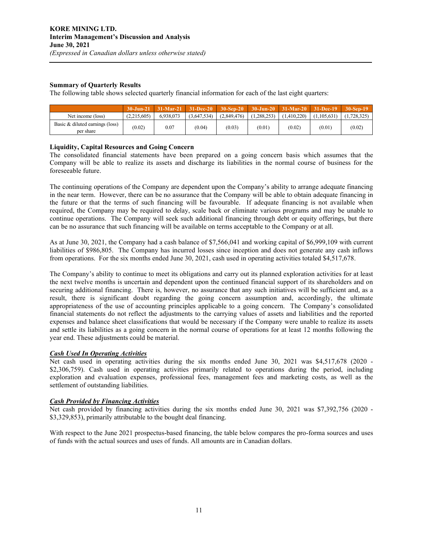## **Summary of Quarterly Results**

The following table shows selected quarterly financial information for each of the last eight quarters:

|                                              |             | $30 - Jun - 21$ 31-Mar-21 | $-31 - Dec-20$ | $30-Sep-20$ |               | $\frac{1}{2}$ 30-Jun-20 $\frac{1}{2}$ 31-Mar-20 $\frac{1}{2}$ 31-Dec-19 $\frac{1}{2}$ 30-Sep-19 |             |             |
|----------------------------------------------|-------------|---------------------------|----------------|-------------|---------------|-------------------------------------------------------------------------------------------------|-------------|-------------|
| Net income (loss)                            | (2,215,605) | 6,938,073                 | (3,647,534)    | (2,849,476) | (1, 288, 253) | (1.410.220)                                                                                     | (1.105.631) | (1.728.325) |
| Basic & diluted earnings (loss)<br>per share | (0.02)      | 0.07                      | (0.04)         | (0.03)      | (0.01)        | (0.02)                                                                                          | (0.01)      | (0.02)      |

## **Liquidity, Capital Resources and Going Concern**

The consolidated financial statements have been prepared on a going concern basis which assumes that the Company will be able to realize its assets and discharge its liabilities in the normal course of business for the foreseeable future.

The continuing operations of the Company are dependent upon the Company's ability to arrange adequate financing in the near term. However, there can be no assurance that the Company will be able to obtain adequate financing in the future or that the terms of such financing will be favourable. If adequate financing is not available when required, the Company may be required to delay, scale back or eliminate various programs and may be unable to continue operations. The Company will seek such additional financing through debt or equity offerings, but there can be no assurance that such financing will be available on terms acceptable to the Company or at all.

As at June 30, 2021, the Company had a cash balance of \$7,566,041 and working capital of \$6,999,109 with current liabilities of \$986,805. The Company has incurred losses since inception and does not generate any cash inflows from operations. For the six months ended June 30, 2021, cash used in operating activities totaled \$4,517,678.

The Company's ability to continue to meet its obligations and carry out its planned exploration activities for at least the next twelve months is uncertain and dependent upon the continued financial support of its shareholders and on securing additional financing. There is, however, no assurance that any such initiatives will be sufficient and, as a result, there is significant doubt regarding the going concern assumption and, accordingly, the ultimate appropriateness of the use of accounting principles applicable to a going concern. The Company's consolidated financial statements do not reflect the adjustments to the carrying values of assets and liabilities and the reported expenses and balance sheet classifications that would be necessary if the Company were unable to realize its assets and settle its liabilities as a going concern in the normal course of operations for at least 12 months following the year end. These adjustments could be material.

## *Cash Used In Operating Activities*

Net cash used in operating activities during the six months ended June 30, 2021 was \$4,517,678 (2020 - \$2,306,759). Cash used in operating activities primarily related to operations during the period, including exploration and evaluation expenses, professional fees, management fees and marketing costs, as well as the settlement of outstanding liabilities.

## *Cash Provided by Financing Activities*

Net cash provided by financing activities during the six months ended June 30, 2021 was \$7,392,756 (2020 -\$3,329,853), primarily attributable to the bought deal financing.

With respect to the June 2021 prospectus-based financing, the table below compares the pro-forma sources and uses of funds with the actual sources and uses of funds. All amounts are in Canadian dollars.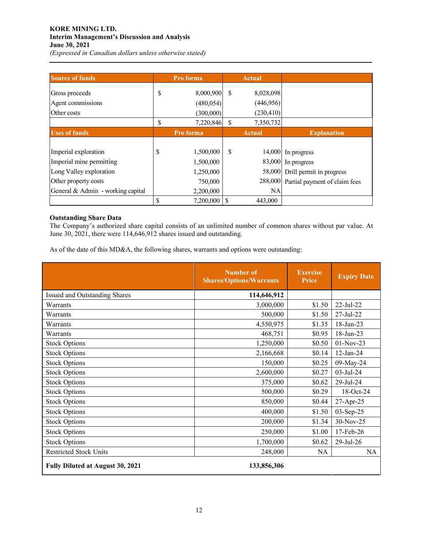## **KORE MINING LTD. Interim Management's Discussion and Analysis June 30, 2021**

*(Expressed in Canadian dollars unless otherwise stated)* 

| <b>Source of funds</b>            | Pro forma |            | <b>Actual</b> |               |                                       |
|-----------------------------------|-----------|------------|---------------|---------------|---------------------------------------|
| Gross proceeds                    | \$        | 8,000,900  | -S            | 8,028,098     |                                       |
| Agent commissions                 |           | (480, 054) |               | (446, 956)    |                                       |
| Other costs                       |           | (300,000)  |               | (230, 410)    |                                       |
|                                   | \$        | 7,220,846  | <sup>\$</sup> | 7,350,732     |                                       |
| <b>Uses of funds</b>              |           | Pro forma  |               | <b>Actual</b> | <b>Explanation</b>                    |
|                                   |           |            |               |               |                                       |
| Imperial exploration              | D         | 1,500,000  | \$            |               | 14,000 In progress                    |
| Imperial mine permitting          |           | 1,500,000  |               |               | 83,000 In progress                    |
| Long Valley exploration           |           | 1,250,000  |               |               | 58,000 Drill permit in progress       |
| Other property costs              |           | 750,000    |               |               | 288,000 Partial payment of claim fees |
| General & Admin - working capital |           | 2,200,000  |               | <b>NA</b>     |                                       |
|                                   |           | 7,200,000  | S             | 443,000       |                                       |

## **Outstanding Share Data**

The Company's authorized share capital consists of an unlimited number of common shares without par value. At June 30, 2021, there were 114,646,912 shares issued and outstanding.

As of the date of this MD&A, the following shares, warrants and options were outstanding:

|                                         | <b>Number of</b><br><b>Shares/Options/Warrants</b> | <b>Exercise</b><br>Price | <b>Expiry Date</b> |
|-----------------------------------------|----------------------------------------------------|--------------------------|--------------------|
| Issued and Outstanding Shares           | 114,646,912                                        |                          |                    |
| Warrants                                | 3,000,000                                          | \$1.50                   | 22-Jul-22          |
| Warrants                                | 500,000                                            | \$1.50                   | $27 - Jul - 22$    |
| Warrants                                | 4,550,975                                          | \$1.35                   | 18-Jun-23          |
| Warrants                                | 468,751                                            | \$0.95                   | 18-Jun-23          |
| <b>Stock Options</b>                    | 1,250,000                                          | \$0.50                   | 01-Nov-23          |
| <b>Stock Options</b>                    | 2,166,668                                          | \$0.14                   | $12$ -Jan-24       |
| <b>Stock Options</b>                    | 150,000                                            | \$0.25                   | 09-May-24          |
| <b>Stock Options</b>                    | 2,600,000                                          | \$0.27                   | $03$ -Jul-24       |
| <b>Stock Options</b>                    | 375,000                                            | \$0.62                   | 29-Jul-24          |
| <b>Stock Options</b>                    | 500,000                                            | \$0.29                   | 18-Oct-24          |
| <b>Stock Options</b>                    | 850,000                                            | \$0.44                   | 27-Apr-25          |
| <b>Stock Options</b>                    | 400,000                                            | \$1.50                   | 03-Sep-25          |
| <b>Stock Options</b>                    | 200,000                                            | \$1.34                   | 30-Nov-25          |
| <b>Stock Options</b>                    | 250,000                                            | \$1.00                   | 17-Feb-26          |
| <b>Stock Options</b>                    | 1,700,000                                          | \$0.62                   | $29$ -Jul- $26$    |
| <b>Restricted Stock Units</b>           | 248,000                                            | <b>NA</b>                | <b>NA</b>          |
| <b>Fully Diluted at August 30, 2021</b> | 133,856,306                                        |                          |                    |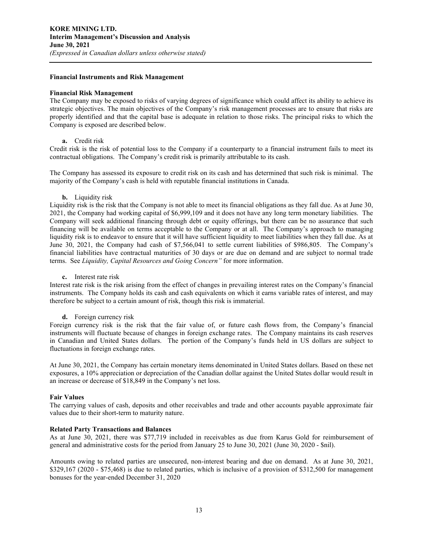#### **Financial Instruments and Risk Management**

## **Financial Risk Management**

The Company may be exposed to risks of varying degrees of significance which could affect its ability to achieve its strategic objectives. The main objectives of the Company's risk management processes are to ensure that risks are properly identified and that the capital base is adequate in relation to those risks. The principal risks to which the Company is exposed are described below.

## **a.** Credit risk

Credit risk is the risk of potential loss to the Company if a counterparty to a financial instrument fails to meet its contractual obligations. The Company's credit risk is primarily attributable to its cash.

The Company has assessed its exposure to credit risk on its cash and has determined that such risk is minimal. The majority of the Company's cash is held with reputable financial institutions in Canada.

## **b.** Liquidity risk

Liquidity risk is the risk that the Company is not able to meet its financial obligations as they fall due. As at June 30, 2021, the Company had working capital of \$6,999,109 and it does not have any long term monetary liabilities. The Company will seek additional financing through debt or equity offerings, but there can be no assurance that such financing will be available on terms acceptable to the Company or at all. The Company's approach to managing liquidity risk is to endeavor to ensure that it will have sufficient liquidity to meet liabilities when they fall due. As at June 30, 2021, the Company had cash of \$7,566,041 to settle current liabilities of \$986,805. The Company's financial liabilities have contractual maturities of 30 days or are due on demand and are subject to normal trade terms. See *Liquidity, Capital Resources and Going Concern"* for more information.

## **c.** Interest rate risk

Interest rate risk is the risk arising from the effect of changes in prevailing interest rates on the Company's financial instruments. The Company holds its cash and cash equivalents on which it earns variable rates of interest, and may therefore be subject to a certain amount of risk, though this risk is immaterial.

## **d.** Foreign currency risk

Foreign currency risk is the risk that the fair value of, or future cash flows from, the Company's financial instruments will fluctuate because of changes in foreign exchange rates. The Company maintains its cash reserves in Canadian and United States dollars. The portion of the Company's funds held in US dollars are subject to fluctuations in foreign exchange rates.

At June 30, 2021, the Company has certain monetary items denominated in United States dollars. Based on these net exposures, a 10% appreciation or depreciation of the Canadian dollar against the United States dollar would result in an increase or decrease of \$18,849 in the Company's net loss.

## **Fair Values**

The carrying values of cash, deposits and other receivables and trade and other accounts payable approximate fair values due to their short-term to maturity nature.

## **Related Party Transactions and Balances**

As at June 30, 2021, there was \$77,719 included in receivables as due from Karus Gold for reimbursement of general and administrative costs for the period from January 25 to June 30, 2021 (June 30, 2020 - \$nil).

Amounts owing to related parties are unsecured, non-interest bearing and due on demand. As at June 30, 2021, \$329,167 (2020 - \$75,468) is due to related parties, which is inclusive of a provision of \$312,500 for management bonuses for the year-ended December 31, 2020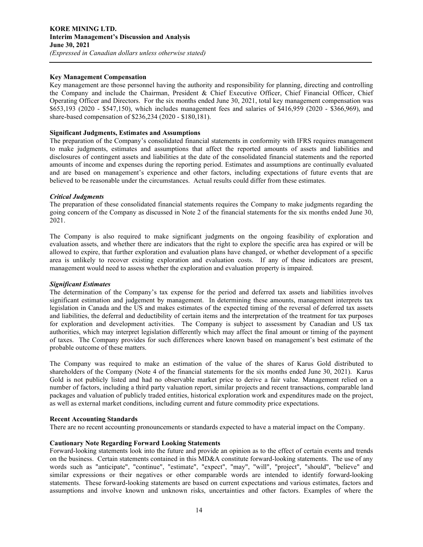## **Key Management Compensation**

Key management are those personnel having the authority and responsibility for planning, directing and controlling the Company and include the Chairman, President & Chief Executive Officer, Chief Financial Officer, Chief Operating Officer and Directors. For the six months ended June 30, 2021, total key management compensation was \$653,193 (2020 - \$547,150), which includes management fees and salaries of \$416,959 (2020 - \$366,969), and share-based compensation of \$236,234 (2020 - \$180,181).

## **Significant Judgments, Estimates and Assumptions**

The preparation of the Company's consolidated financial statements in conformity with IFRS requires management to make judgments, estimates and assumptions that affect the reported amounts of assets and liabilities and disclosures of contingent assets and liabilities at the date of the consolidated financial statements and the reported amounts of income and expenses during the reporting period. Estimates and assumptions are continually evaluated and are based on management's experience and other factors, including expectations of future events that are believed to be reasonable under the circumstances. Actual results could differ from these estimates.

## *Critical Judgments*

The preparation of these consolidated financial statements requires the Company to make judgments regarding the going concern of the Company as discussed in Note 2 of the financial statements for the six months ended June 30, 2021.

The Company is also required to make significant judgments on the ongoing feasibility of exploration and evaluation assets, and whether there are indicators that the right to explore the specific area has expired or will be allowed to expire, that further exploration and evaluation plans have changed, or whether development of a specific area is unlikely to recover existing exploration and evaluation costs. If any of these indicators are present, management would need to assess whether the exploration and evaluation property is impaired.

## *Significant Estimates*

The determination of the Company's tax expense for the period and deferred tax assets and liabilities involves significant estimation and judgement by management. In determining these amounts, management interprets tax legislation in Canada and the US and makes estimates of the expected timing of the reversal of deferred tax assets and liabilities, the deferral and deductibility of certain items and the interpretation of the treatment for tax purposes for exploration and development activities. The Company is subject to assessment by Canadian and US tax authorities, which may interpret legislation differently which may affect the final amount or timing of the payment of taxes. The Company provides for such differences where known based on management's best estimate of the probable outcome of these matters.

The Company was required to make an estimation of the value of the shares of Karus Gold distributed to shareholders of the Company (Note 4 of the financial statements for the six months ended June 30, 2021). Karus Gold is not publicly listed and had no observable market price to derive a fair value. Management relied on a number of factors, including a third party valuation report, similar projects and recent transactions, comparable land packages and valuation of publicly traded entities, historical exploration work and expenditures made on the project, as well as external market conditions, including current and future commodity price expectations.

## **Recent Accounting Standards**

There are no recent accounting pronouncements or standards expected to have a material impact on the Company.

## **Cautionary Note Regarding Forward Looking Statements**

Forward-looking statements look into the future and provide an opinion as to the effect of certain events and trends on the business. Certain statements contained in this MD&A constitute forward-looking statements. The use of any words such as "anticipate", "continue", "estimate", "expect", "may", "will", "project", "should", "believe" and similar expressions or their negatives or other comparable words are intended to identify forward-looking statements. These forward-looking statements are based on current expectations and various estimates, factors and assumptions and involve known and unknown risks, uncertainties and other factors. Examples of where the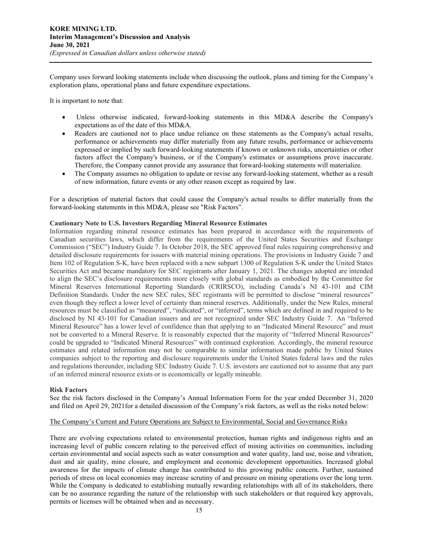Company uses forward looking statements include when discussing the outlook, plans and timing for the Company's exploration plans, operational plans and future expenditure expectations.

It is important to note that:

- Unless otherwise indicated, forward-looking statements in this MD&A describe the Company's expectations as of the date of this MD&A.
- Readers are cautioned not to place undue reliance on these statements as the Company's actual results, performance or achievements may differ materially from any future results, performance or achievements expressed or implied by such forward-looking statements if known or unknown risks, uncertainties or other factors affect the Company's business, or if the Company's estimates or assumptions prove inaccurate. Therefore, the Company cannot provide any assurance that forward-looking statements will materialize.
- The Company assumes no obligation to update or revise any forward-looking statement, whether as a result of new information, future events or any other reason except as required by law.

For a description of material factors that could cause the Company's actual results to differ materially from the forward-looking statements in this MD&A, please see "Risk Factors".

#### **Cautionary Note to U.S. Investors Regarding Mineral Resource Estimates**

Information regarding mineral resource estimates has been prepared in accordance with the requirements of Canadian securities laws, which differ from the requirements of the United States Securities and Exchange Commission ("SEC") Industry Guide 7. In October 2018, the SEC approved final rules requiring comprehensive and detailed disclosure requirements for issuers with material mining operations. The provisions in Industry Guide 7 and Item 102 of Regulation S-K, have been replaced with a new subpart 1300 of Regulation S-K under the United States Securities Act and became mandatory for SEC registrants after January 1, 2021. The changes adopted are intended to align the SEC's disclosure requirements more closely with global standards as embodied by the Committee for Mineral Reserves International Reporting Standards (CRIRSCO), including Canada's NI 43-101 and CIM Definition Standards. Under the new SEC rules, SEC registrants will be permitted to disclose "mineral resources" even though they reflect a lower level of certainty than mineral reserves. Additionally, under the New Rules, mineral resources must be classified as "measured", "indicated", or "inferred", terms which are defined in and required to be disclosed by NI 43-101 for Canadian issuers and are not recognized under SEC Industry Guide 7. An "Inferred Mineral Resource" has a lower level of confidence than that applying to an "Indicated Mineral Resource" and must not be converted to a Mineral Reserve. It is reasonably expected that the majority of "Inferred Mineral Resources" could be upgraded to "Indicated Mineral Resources" with continued exploration. Accordingly, the mineral resource estimates and related information may not be comparable to similar information made public by United States companies subject to the reporting and disclosure requirements under the United States federal laws and the rules and regulations thereunder, including SEC Industry Guide 7. U.S. investors are cautioned not to assume that any part of an inferred mineral resource exists or is economically or legally mineable.

#### **Risk Factors**

See the risk factors disclosed in the Company's Annual Information Form for the year ended December 31, 2020 and filed on April 29, 2021for a detailed discussion of the Company's risk factors, as well as the risks noted below:

## The Company's Current and Future Operations are Subject to Environmental, Social and Governance Risks

There are evolving expectations related to environmental protection, human rights and indigenous rights and an increasing level of public concern relating to the perceived effect of mining activities on communities, including certain environmental and social aspects such as water consumption and water quality, land use, noise and vibration, dust and air quality, mine closure, and employment and economic development opportunities. Increased global awareness for the impacts of climate change has contributed to this growing public concern. Further, sustained periods of stress on local economies may increase scrutiny of and pressure on mining operations over the long term. While the Company is dedicated to establishing mutually rewarding relationships with all of its stakeholders, there can be no assurance regarding the nature of the relationship with such stakeholders or that required key approvals, permits or licenses will be obtained when and as necessary.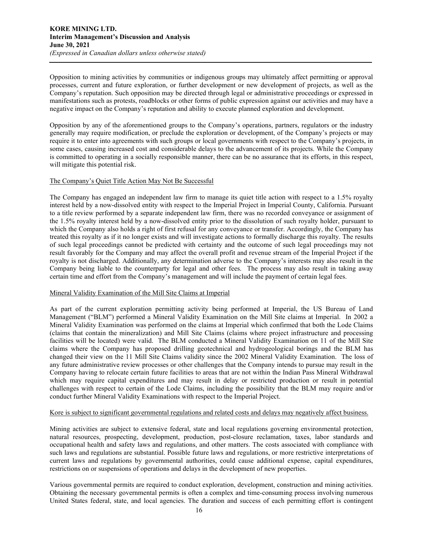Opposition to mining activities by communities or indigenous groups may ultimately affect permitting or approval processes, current and future exploration, or further development or new development of projects, as well as the Company's reputation. Such opposition may be directed through legal or administrative proceedings or expressed in manifestations such as protests, roadblocks or other forms of public expression against our activities and may have a negative impact on the Company's reputation and ability to execute planned exploration and development.

Opposition by any of the aforementioned groups to the Company's operations, partners, regulators or the industry generally may require modification, or preclude the exploration or development, of the Company's projects or may require it to enter into agreements with such groups or local governments with respect to the Company's projects, in some cases, causing increased cost and considerable delays to the advancement of its projects. While the Company is committed to operating in a socially responsible manner, there can be no assurance that its efforts, in this respect, will mitigate this potential risk.

## The Company's Quiet Title Action May Not Be Successful

The Company has engaged an independent law firm to manage its quiet title action with respect to a 1.5% royalty interest held by a now-dissolved entity with respect to the Imperial Project in Imperial County, California. Pursuant to a title review performed by a separate independent law firm, there was no recorded conveyance or assignment of the 1.5% royalty interest held by a now-dissolved entity prior to the dissolution of such royalty holder, pursuant to which the Company also holds a right of first refusal for any conveyance or transfer. Accordingly, the Company has treated this royalty as if it no longer exists and will investigate actions to formally discharge this royalty. The results of such legal proceedings cannot be predicted with certainty and the outcome of such legal proceedings may not result favorably for the Company and may affect the overall profit and revenue stream of the Imperial Project if the royalty is not discharged. Additionally, any determination adverse to the Company's interests may also result in the Company being liable to the counterparty for legal and other fees. The process may also result in taking away certain time and effort from the Company's management and will include the payment of certain legal fees.

## Mineral Validity Examination of the Mill Site Claims at Imperial

As part of the current exploration permitting activity being performed at Imperial, the US Bureau of Land Management ("BLM") performed a Mineral Validity Examination on the Mill Site claims at Imperial. In 2002 a Mineral Validity Examination was performed on the claims at Imperial which confirmed that both the Lode Claims (claims that contain the mineralization) and Mill Site Claims (claims where project infrastructure and processing facilities will be located) were valid. The BLM conducted a Mineral Validity Examination on 11 of the Mill Site claims where the Company has proposed drilling geotechnical and hydrogeological borings and the BLM has changed their view on the 11 Mill Site Claims validity since the 2002 Mineral Validity Examination. The loss of any future administrative review processes or other challenges that the Company intends to pursue may result in the Company having to relocate certain future facilities to areas that are not within the Indian Pass Mineral Withdrawal which may require capital expenditures and may result in delay or restricted production or result in potential challenges with respect to certain of the Lode Claims, including the possibility that the BLM may require and/or conduct further Mineral Validity Examinations with respect to the Imperial Project.

## Kore is subject to significant governmental regulations and related costs and delays may negatively affect business.

Mining activities are subject to extensive federal, state and local regulations governing environmental protection, natural resources, prospecting, development, production, post-closure reclamation, taxes, labor standards and occupational health and safety laws and regulations, and other matters. The costs associated with compliance with such laws and regulations are substantial. Possible future laws and regulations, or more restrictive interpretations of current laws and regulations by governmental authorities, could cause additional expense, capital expenditures, restrictions on or suspensions of operations and delays in the development of new properties.

Various governmental permits are required to conduct exploration, development, construction and mining activities. Obtaining the necessary governmental permits is often a complex and time-consuming process involving numerous United States federal, state, and local agencies. The duration and success of each permitting effort is contingent